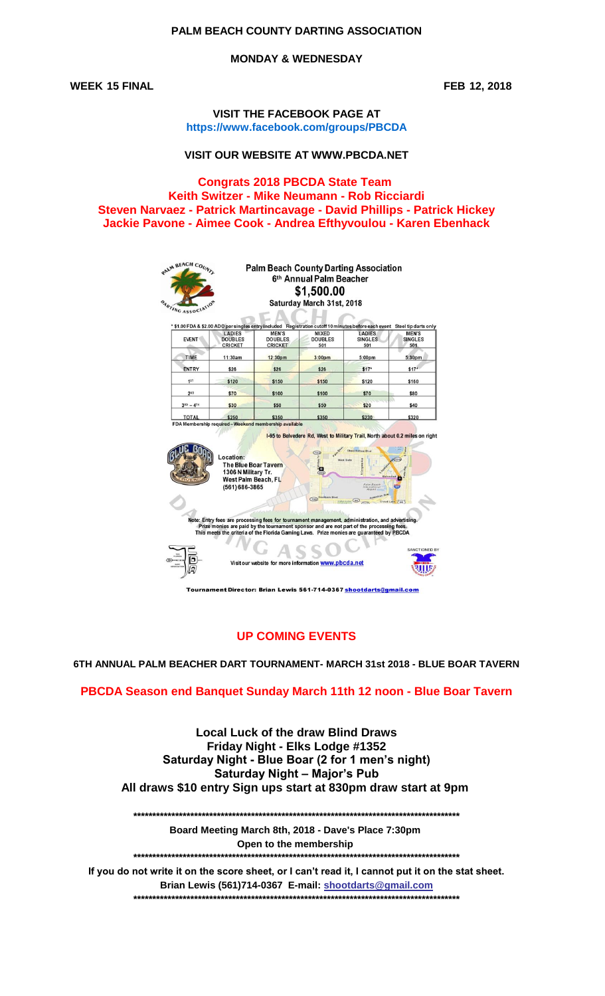# PALM BEACH COUNTY DARTING ASSOCIATION

**MONDAY & WEDNESDAY** 

**WEEK 15 FINAL** 

FEB 12, 2018

**VISIT THE FACEBOOK PAGE AT** https://www.facebook.com/groups/PBCDA

## VISIT OUR WEBSITE AT WWW.PBCDA.NET

**Congrats 2018 PBCDA State Team** Keith Switzer - Mike Neumann - Rob Ricciardi Steven Narvaez - Patrick Martincavage - David Phillips - Patrick Hickey Jackie Pavone - Aimee Cook - Andrea Efthyvoulou - Karen Ebenhack

| <b>EVENT</b><br>TIME<br><b>ENTRY</b><br>1 <sub>st</sub><br>2ND | LADIES<br><b>DOUBLES</b><br><b>CRICKET</b><br>11:30am<br>\$26                                            | * \$1.00 FDA & \$2.00 ADO per singles entry included Registration cutoff 10 minutes before eachevent Steel tip darts only<br><b>MEN'S</b><br><b>DOUBLES</b><br><b>CRICKET</b>                                                                                                             | MIXED<br><b>DOUBLES</b> | <b>LADIES</b><br><b>SINGLES</b> | <b>MEN'S</b>          |
|----------------------------------------------------------------|----------------------------------------------------------------------------------------------------------|-------------------------------------------------------------------------------------------------------------------------------------------------------------------------------------------------------------------------------------------------------------------------------------------|-------------------------|---------------------------------|-----------------------|
|                                                                |                                                                                                          |                                                                                                                                                                                                                                                                                           |                         |                                 |                       |
|                                                                |                                                                                                          |                                                                                                                                                                                                                                                                                           | 501                     | 501                             | <b>SINGLES</b><br>501 |
|                                                                |                                                                                                          | 12:30 <sub>pm</sub>                                                                                                                                                                                                                                                                       | 3:00 <sub>pm</sub>      | 5:00 <sub>pm</sub>              | 5:30 <sub>pm</sub>    |
|                                                                |                                                                                                          | \$26                                                                                                                                                                                                                                                                                      | \$26                    | \$17"                           | $$17*$                |
|                                                                | \$120                                                                                                    | \$150                                                                                                                                                                                                                                                                                     | \$150                   | \$120                           | \$160                 |
|                                                                | \$70                                                                                                     | \$100                                                                                                                                                                                                                                                                                     | \$100                   | \$70                            | \$80                  |
| $3RD - 4TH$                                                    | \$30                                                                                                     | \$50                                                                                                                                                                                                                                                                                      | \$50                    | \$20                            | \$40                  |
| <b>TOTAL</b>                                                   | \$250                                                                                                    | \$350                                                                                                                                                                                                                                                                                     | \$350                   | \$230                           | \$320                 |
|                                                                | Location:<br><b>The Blue Boar Tavern</b><br>1306 N Military Tr.<br>West Palm Beach, FL<br>(561) 686-3865 |                                                                                                                                                                                                                                                                                           | 704<br>West Gate        |                                 |                       |
|                                                                |                                                                                                          | Note: Entry fees are processing fees for tournament management, administration, and advertising.<br>Prize monies are paid by the tournament sponsor and are not part of the processing fees.<br>This meets the criteria of the Florida Gaming Laws. Prize monies are quaranteed by PBCDA. | $G$ oo                  |                                 | Cloud Lake 2 pm       |

Tournament Director: Brian Lewis 561-714-0367 shootdarts@gmail.com

# **UP COMING EVENTS**

6TH ANNUAL PALM BEACHER DART TOURNAMENT- MARCH 31st 2018 - BLUE BOAR TAVERN

#### PBCDA Season end Banquet Sunday March 11th 12 noon - Blue Boar Tavern

**Local Luck of the draw Blind Draws** Friday Night - Elks Lodge #1352 Saturday Night - Blue Boar (2 for 1 men's night) **Saturday Night - Major's Pub** All draws \$10 entry Sign ups start at 830pm draw start at 9pm

Board Meeting March 8th, 2018 - Dave's Place 7:30pm Open to the membership

If you do not write it on the score sheet, or I can't read it, I cannot put it on the stat sheet. Brian Lewis (561)714-0367 E-mail: shootdarts@gmail.com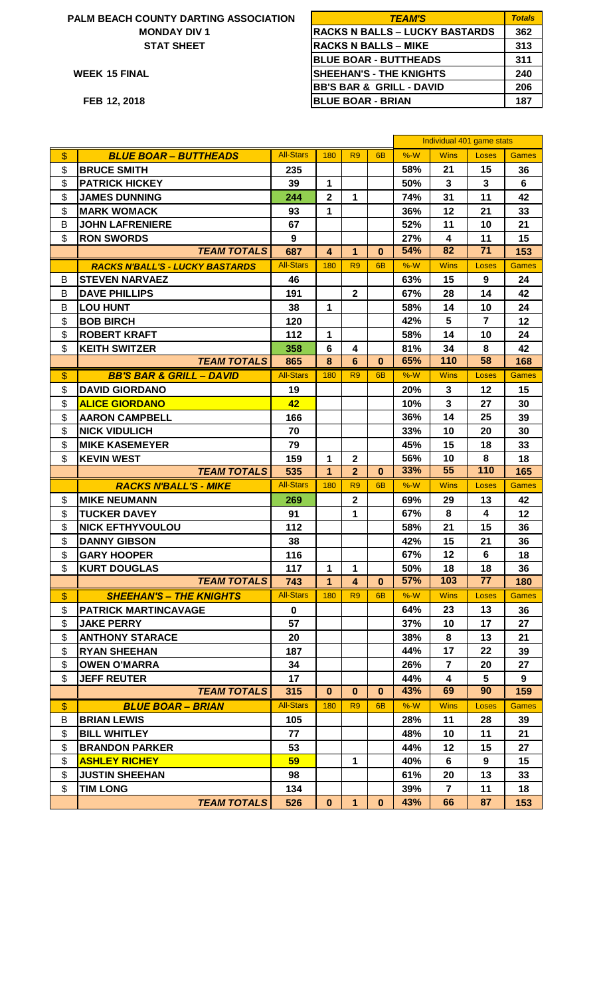## **PALM BEACH COUNTY DARTING ASSOCIATION MONDAY DIV 1 STAT SHEET**

| ALM BEACH COUNTY DARTING ASSOCIATION | <b>TEAM'S</b>                         | <b>Totals</b> |
|--------------------------------------|---------------------------------------|---------------|
| <b>MONDAY DIV 1</b>                  | <b>RACKS N BALLS – LUCKY BASTARDS</b> | 362           |
| <b>STAT SHEET</b>                    | <b>RACKS N BALLS – MIKE</b>           | 313           |
|                                      | <b>BLUE BOAR - BUTTHEADS</b>          | 311           |
| WEEK 15 FINAL                        | <b>SHEEHAN'S - THE KNIGHTS</b>        | 240           |
|                                      | <b>BB'S BAR &amp; GRILL - DAVID</b>   | 206           |
| FEB 12, 2018                         | <b>BLUE BOAR - BRIAN</b>              | 187           |
|                                      |                                       |               |

|                     |                                        |                  |                         |                         |                | Individual 401 game stats |                               |                 |                |
|---------------------|----------------------------------------|------------------|-------------------------|-------------------------|----------------|---------------------------|-------------------------------|-----------------|----------------|
| \$                  | <b>BLUE BOAR - BUTTHEADS</b>           | <b>All-Stars</b> | 180                     | R <sub>9</sub>          | 6 <sub>B</sub> | $%-W$                     | <b>Wins</b>                   | Loses           | <b>Games</b>   |
| \$                  | <b>BRUCE SMITH</b>                     | 235              |                         |                         |                | 58%                       | 21                            | 15              | 36             |
| \$                  | <b>PATRICK HICKEY</b>                  | 39               | 1                       |                         |                | 50%                       | 3                             | 3               | $6\phantom{1}$ |
| \$                  | <b>JAMES DUNNING</b>                   | 244              | $\overline{2}$          | 1                       |                | 74%                       | 31                            | 11              | 42             |
| \$                  | <b>MARK WOMACK</b>                     | 93               | 1                       |                         |                | 36%                       | 12                            | 21              | 33             |
| B                   | <b>JOHN LAFRENIERE</b>                 | 67               |                         |                         |                | 52%                       | 11                            | 10              | 21             |
| \$                  | <b>RON SWORDS</b>                      | 9                |                         |                         |                | 27%                       | $\overline{\mathbf{4}}$       | 11              | 15             |
|                     | <b>TEAM TOTALS</b>                     | 687              | 4                       | $\mathbf{1}$            | $\bf{0}$       | 54%                       | 82                            | $\overline{71}$ | 153            |
|                     | <b>RACKS N'BALL'S - LUCKY BASTARDS</b> | <b>All-Stars</b> | 180                     | R <sub>9</sub>          | 6 <sub>B</sub> | $%-W$                     | <b>Wins</b>                   | Loses           | <b>Games</b>   |
| B                   | <b>STEVEN NARVAEZ</b>                  | 46               |                         |                         |                | 63%                       | 15                            | 9               | 24             |
| B                   | <b>DAVE PHILLIPS</b>                   | 191              |                         | $\mathbf{2}$            |                | 67%                       | 28                            | 14              | 42             |
| B                   | <b>LOU HUNT</b>                        | 38               | 1                       |                         |                | 58%                       | 14                            | 10              | 24             |
| \$                  | <b>BOB BIRCH</b>                       | 120              |                         |                         |                | 42%                       | 5                             | $\overline{7}$  | 12             |
| \$                  | <b>ROBERT KRAFT</b>                    | 112              | 1                       |                         |                | 58%                       | 14                            | 10              | 24             |
| \$                  | <b>KEITH SWITZER</b>                   | 358              | 6                       | 4                       |                | 81%                       | 34                            | 8               | 42             |
|                     | <b>TEAM TOTALS</b>                     | 865              | 8                       | $6\phantom{1}6$         | $\bf{0}$       | 65%                       | 110                           | 58              | 168            |
| $\$\$               | <b>BB'S BAR &amp; GRILL - DAVID</b>    | <b>All-Stars</b> | 180                     | R <sub>9</sub>          | 6 <sub>B</sub> | $%-W$                     | <b>Wins</b>                   | Loses           | <b>Games</b>   |
| \$                  | <b>DAVID GIORDANO</b>                  | 19               |                         |                         |                | 20%                       | $\mathbf{3}$                  | 12              | 15             |
| \$                  | <b>ALICE GIORDANO</b>                  | 42               |                         |                         |                | 10%                       | 3                             | 27              | 30             |
| \$                  | <b>AARON CAMPBELL</b>                  | 166              |                         |                         |                | 36%                       | 14                            | 25              | 39             |
| \$                  | <b>NICK VIDULICH</b>                   | 70               |                         |                         |                | 33%                       | 10                            | 20              | 30             |
| \$                  | <b>MIKE KASEMEYER</b>                  | 79               |                         |                         |                | 45%                       | 15                            | 18              | 33             |
| \$                  | <b>KEVIN WEST</b>                      | 159              | 1                       | $\mathbf{2}$            |                | 56%                       | 10                            | 8               | 18             |
|                     | <b>TEAM TOTALS</b>                     | 535              | 1                       | $\overline{2}$          | $\bf{0}$       | 33%                       | 55                            | 110             | 165            |
|                     | <b>RACKS N'BALL'S - MIKE</b>           | <b>All-Stars</b> | 180                     | R <sub>9</sub>          | 6 <sub>B</sub> | $%-W$                     | <b>Wins</b>                   | Loses           | <b>Games</b>   |
| \$                  | <b>MIKE NEUMANN</b>                    | 269              |                         | $\mathbf 2$             |                | 69%                       | 29                            | 13              | 42             |
| \$                  | <b>TUCKER DAVEY</b>                    | 91               |                         | 1                       |                | 67%                       | 8                             | 4               | 12             |
| \$                  | <b>NICK EFTHYVOULOU</b>                | 112              |                         |                         |                | 58%                       | 21                            | 15              | 36             |
| \$                  | <b>DANNY GIBSON</b>                    | 38               |                         |                         |                | 42%                       | 15                            | 21              | 36             |
| \$                  | <b>GARY HOOPER</b>                     | 116              |                         |                         |                | 67%                       | 12                            | 6               | 18             |
| \$                  | <b>KURT DOUGLAS</b>                    | 117              | 1                       | 1                       |                | 50%                       | 18                            | 18              | 36             |
|                     | <b>TEAM TOTALS</b>                     | 743              | $\overline{\mathbf{1}}$ | $\overline{\mathbf{4}}$ | $\mathbf 0$    | 57%                       | 103                           | 77              | 180            |
|                     |                                        | <b>All-Stars</b> | 180                     | R <sub>9</sub>          | 6B             | $%-W$                     | <b>Wins</b>                   | Loses           | <b>Games</b>   |
| $\frac{1}{2}$<br>\$ | <b>SHEEHAN'S – THE KNIGHTS</b>         | $\mathbf 0$      |                         |                         |                |                           |                               |                 |                |
| \$                  | <b>PATRICK MARTINCAVAGE</b>            | 57               |                         |                         |                | 64%                       | 23                            | 13              | 36             |
|                     | <b>JAKE PERRY</b>                      |                  |                         |                         |                | 37%                       | 10                            | 17              | 27             |
| \$                  | <b>ANTHONY STARACE</b>                 | 20               |                         |                         |                | 38%                       | 8                             | 13              | 21             |
| \$                  | <b>RYAN SHEEHAN</b>                    | 187              |                         |                         |                | 44%                       | 17                            | 22              | 39             |
| \$                  | <b>OWEN O'MARRA</b>                    | 34               |                         |                         |                | 26%                       | $\overline{7}$                | 20              | 27             |
| \$                  | <b>JEFF REUTER</b>                     | 17               |                         |                         |                | 44%<br>43%                | $\overline{\mathbf{4}}$<br>69 | 5<br>90         | 9              |
|                     | <b>TEAM TOTALS</b>                     | 315              | $\bf{0}$                | 0                       | $\bf{0}$       |                           |                               |                 | 159            |
| $\mathsf{\$}$       | <b>BLUE BOAR - BRIAN</b>               | <b>All-Stars</b> | 180                     | R <sub>9</sub>          | 6 <sub>B</sub> | $%-W$                     | <b>Wins</b>                   | Loses           | <b>Games</b>   |
| B                   | <b>BRIAN LEWIS</b>                     | 105              |                         |                         |                | 28%                       | 11                            | 28              | 39             |
| \$                  | <b>BILL WHITLEY</b>                    | 77               |                         |                         |                | 48%                       | 10                            | 11              | 21             |
| \$                  | <b>BRANDON PARKER</b>                  | 53               |                         |                         |                | 44%                       | 12                            | 15              | 27             |
| \$                  | <b>ASHLEY RICHEY</b>                   | 59               |                         | 1                       |                | 40%                       | 6                             | 9               | 15             |
| \$                  | <b>JUSTIN SHEEHAN</b>                  | 98               |                         |                         |                | 61%                       | 20                            | 13              | 33             |
| \$                  | <b>TIM LONG</b>                        | 134              |                         |                         |                | 39%                       | $\overline{7}$                | 11              | 18             |
|                     | <b>TEAM TOTALS</b>                     | 526              | $\bf{0}$                | 1                       | $\bf{0}$       | 43%                       | 66                            | 87              | 153            |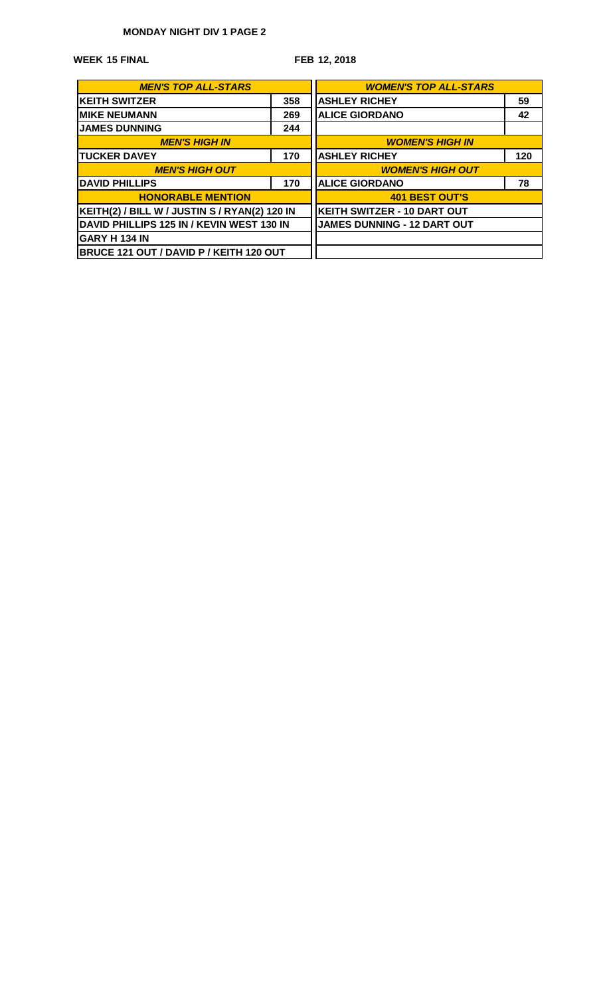# **MONDAY NIGHT DIV 1 PAGE 2**

**15 FINAL WEEK**

**FEB 12, 2018**

| <b>MEN'S TOP ALL-STARS</b>                     | <b>WOMEN'S TOP ALL-STARS</b>       |                                    |     |  |  |  |
|------------------------------------------------|------------------------------------|------------------------------------|-----|--|--|--|
| <b>KEITH SWITZER</b>                           | 358                                | <b>ASHLEY RICHEY</b>               | 59  |  |  |  |
| <b>IMIKE NEUMANN</b>                           | 269                                | <b>ALICE GIORDANO</b>              | 42  |  |  |  |
| <b>JAMES DUNNING</b>                           | 244                                |                                    |     |  |  |  |
| <b>MEN'S HIGH IN</b>                           | <b>WOMEN'S HIGH IN</b>             |                                    |     |  |  |  |
| <b>ITUCKER DAVEY</b>                           | 170                                | <b>ASHLEY RICHEY</b>               | 120 |  |  |  |
| <b>MEN'S HIGH OUT</b>                          | <b>WOMEN'S HIGH OUT</b>            |                                    |     |  |  |  |
| <b>IDAVID PHILLIPS</b>                         | 170                                | <b>ALICE GIORDANO</b>              |     |  |  |  |
| <b>HONORABLE MENTION</b>                       |                                    | <b>401 BEST OUT'S</b>              |     |  |  |  |
| KEITH(2) / BILL W / JUSTIN S / RYAN(2) 120 IN  |                                    | <b>KEITH SWITZER - 10 DART OUT</b> |     |  |  |  |
| DAVID PHILLIPS 125 IN / KEVIN WEST 130 IN      | <b>JAMES DUNNING - 12 DART OUT</b> |                                    |     |  |  |  |
| IGARY H 134 IN                                 |                                    |                                    |     |  |  |  |
| <b>BRUCE 121 OUT / DAVID P / KEITH 120 OUT</b> |                                    |                                    |     |  |  |  |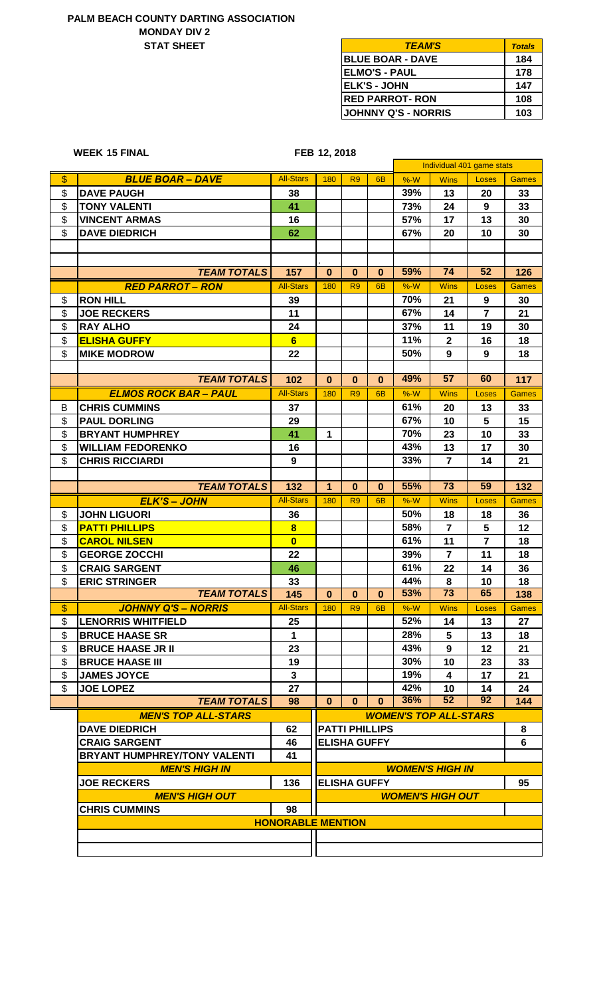## **PALM BEACH COUNTY DARTING ASSOCIATION MONDAY DIV 2 STAT SHEET**

**15 FINAL WEEK**

| <b>TEAM'S</b>            | <b>Totals</b> |
|--------------------------|---------------|
| <b>IBLUE BOAR - DAVE</b> | 184           |
| <b>IELMO'S - PAUL</b>    | 178           |
| <b>IELK'S - JOHN</b>     | 147           |
| <b>IRED PARROT- RON</b>  | 108           |
| JOHNNY Q'S - NORRIS      | 103           |

#### **FEB 12, 2018**

|                   |                              |                                |                |                       |                | Individual 401 game stats |                              |                |              |
|-------------------|------------------------------|--------------------------------|----------------|-----------------------|----------------|---------------------------|------------------------------|----------------|--------------|
| $\boldsymbol{\$}$ | <b>BLUE BOAR - DAVE</b>      | <b>All-Stars</b>               | 180            | R <sub>9</sub>        | 6 <sub>B</sub> | $%-W$                     | <b>Wins</b>                  | Loses          | <b>Games</b> |
| \$                | <b>DAVE PAUGH</b>            | 38                             |                |                       |                | 39%                       | 13                           | 20             | 33           |
| \$                | <b>TONY VALENTI</b>          | 41                             |                |                       |                | 73%                       | 24                           | 9              | 33           |
| \$                | <b>VINCENT ARMAS</b>         | 16                             |                |                       |                | 57%                       | 17                           | 13             | 30           |
| \$                | <b>DAVE DIEDRICH</b>         | 62                             |                |                       |                | 67%                       | 20                           | 10             | 30           |
|                   |                              |                                |                |                       |                |                           |                              |                |              |
|                   |                              |                                |                |                       |                |                           |                              |                |              |
|                   | <b>TEAM TOTALS</b>           | 157                            | $\bf{0}$       | $\bf{0}$              | $\mathbf{0}$   | 59%                       | 74                           | 52             | 126          |
|                   | <b>RED PARROT - RON</b>      | <b>All-Stars</b>               | 180            | R <sub>9</sub>        | 6 <sub>B</sub> | $%-W$                     | <b>Wins</b>                  | Loses          | <b>Games</b> |
| \$                | <b>RON HILL</b>              | 39                             |                |                       |                | 70%                       | 21                           | 9              | 30           |
| \$                | <b>JOE RECKERS</b>           | 11                             |                |                       |                | 67%                       | 14                           | $\overline{7}$ | 21           |
| \$                | <b>RAY ALHO</b>              | 24                             |                |                       |                | 37%                       | 11                           | 19             | 30           |
| \$                | <b>ELISHA GUFFY</b>          | 6                              |                |                       |                | 11%                       | $\mathbf{2}$                 | 16             | 18           |
| \$                | <b>MIKE MODROW</b>           | 22                             |                |                       |                | 50%                       | 9                            | 9              | 18           |
|                   |                              |                                |                |                       |                |                           |                              |                |              |
|                   | <b>TEAM TOTALS</b>           | 102                            | $\bf{0}$       | $\bf{0}$              | $\mathbf{0}$   | 49%                       | 57                           | 60             | 117          |
|                   | <b>ELMOS ROCK BAR - PAUL</b> | <b>All-Stars</b>               | 180            | R <sub>9</sub>        | 6 <sub>B</sub> | $%-W$                     | <b>Wins</b>                  | Loses          | <b>Games</b> |
| B                 | <b>CHRIS CUMMINS</b>         | 37                             |                |                       |                | 61%                       | 20                           | 13             | 33           |
| \$                | <b>PAUL DORLING</b>          | 29                             |                |                       |                | 67%                       | 10                           | 5              | 15           |
| \$                | <b>BRYANT HUMPHREY</b>       | 41                             | 1              |                       |                | 70%                       | 23                           | 10             | 33           |
| \$                | <b>WILLIAM FEDORENKO</b>     | 16                             |                |                       |                | 43%                       | 13                           | 17             | 30           |
| \$                | <b>CHRIS RICCIARDI</b>       | 9                              |                |                       |                | 33%                       | $\overline{7}$               | 14             | 21           |
|                   |                              |                                |                |                       |                |                           |                              |                |              |
|                   | <b>TEAM TOTALS</b>           | 132                            | $\overline{1}$ | $\bf{0}$              | $\mathbf{0}$   | 55%                       | $\overline{73}$              | 59             | 132          |
|                   | <b>ELK'S - JOHN</b>          | <b>All-Stars</b>               | 180            | R <sub>9</sub>        | 6 <sub>B</sub> | $%-W$                     | <b>Wins</b>                  | Loses          | <b>Games</b> |
| \$                | <b>JOHN LIGUORI</b>          | 36                             |                |                       |                | 50%                       | 18                           | 18             | 36           |
| \$                | <b>PATTI PHILLIPS</b>        | $\overline{\mathbf{8}}$        |                |                       |                | 58%                       | $\overline{7}$               | 5              | 12           |
| \$                | <b>CAROL NILSEN</b>          | $\bf{0}$                       |                |                       |                | 61%                       | 11                           | $\overline{7}$ | 18           |
| \$                | <b>GEORGE ZOCCHI</b>         | 22                             |                |                       |                | 39%                       | $\overline{7}$               | 11             | 18           |
| \$                | <b>CRAIG SARGENT</b>         | 46                             |                |                       |                | 61%                       | 22                           | 14             | 36           |
| \$                | <b>ERIC STRINGER</b>         | 33                             |                |                       |                | 44%                       | 8                            | 10             | 18           |
|                   | <b>TEAM TOTALS</b>           | 145                            | $\bf{0}$       | $\bf{0}$              | $\bf{0}$       | 53%                       | 73                           | 65             | 138          |
|                   | <b>JOHNNY Q'S - NORRIS</b>   | <b>All-Stars</b>               | 180            | R <sub>9</sub>        | 6B             | %W                        | <b>Wins</b>                  | <b>Loses</b>   | Games        |
| Φ<br>\$           | <b>LENORRIS WHITFIELD</b>    | 25                             |                |                       |                | 52%                       | 14                           | 13             | 27           |
| \$                | <b>BRUCE HAASE SR</b>        | $\mathbf{1}$                   |                |                       |                | 28%                       | 5                            | 13             | 18           |
| \$                | <b>BRUCE HAASE JR II</b>     | 23                             |                |                       |                | 43%                       | 9                            | 12             | 21           |
| \$                | <b>BRUCE HAASE III</b>       | 19                             |                |                       |                | 30%                       | 10                           | 23             | 33           |
| \$                | <b>JAMES JOYCE</b>           | $\mathbf{3}$                   |                |                       |                | 19%                       | 4                            | 17             | 21           |
| \$                | <b>JOE LOPEZ</b>             | 27                             |                |                       |                | 42%                       | 10                           | 14             | 24           |
|                   | <b>TEAM TOTALS</b>           | 98                             | $\mathbf{0}$   | $\mathbf{0}$          | $\mathbf{0}$   | 36%                       | 52                           | 92             | 144          |
|                   | <b>MEN'S TOP ALL-STARS</b>   |                                |                |                       |                |                           | <b>WOMEN'S TOP ALL-STARS</b> |                |              |
|                   | <b>DAVE DIEDRICH</b>         | 62                             |                | <b>PATTI PHILLIPS</b> |                |                           |                              |                | 8            |
|                   | <b>CRAIG SARGENT</b>         | 46                             |                | <b>ELISHA GUFFY</b>   |                |                           |                              |                | 6            |
|                   |                              |                                |                |                       |                |                           |                              |                |              |
|                   | BRYANT HUMPHREY/TONY VALENTI | 41                             |                |                       |                |                           |                              |                |              |
|                   | <b>MEN'S HIGH IN</b>         |                                |                |                       |                |                           | <b>WOMEN'S HIGH IN</b>       |                | 95           |
|                   | <b>JOE RECKERS</b>           | 136                            |                | <b>ELISHA GUFFY</b>   |                |                           |                              |                |              |
|                   | <b>MEN'S HIGH OUT</b>        |                                |                |                       |                |                           | <b>WOMEN'S HIGH OUT</b>      |                |              |
|                   | <b>CHRIS CUMMINS</b>         | 98<br><b>HONORABLE MENTION</b> |                |                       |                |                           |                              |                |              |
|                   |                              |                                |                |                       |                |                           |                              |                |              |
|                   |                              |                                |                |                       |                |                           |                              |                |              |
|                   |                              |                                |                |                       |                |                           |                              |                |              |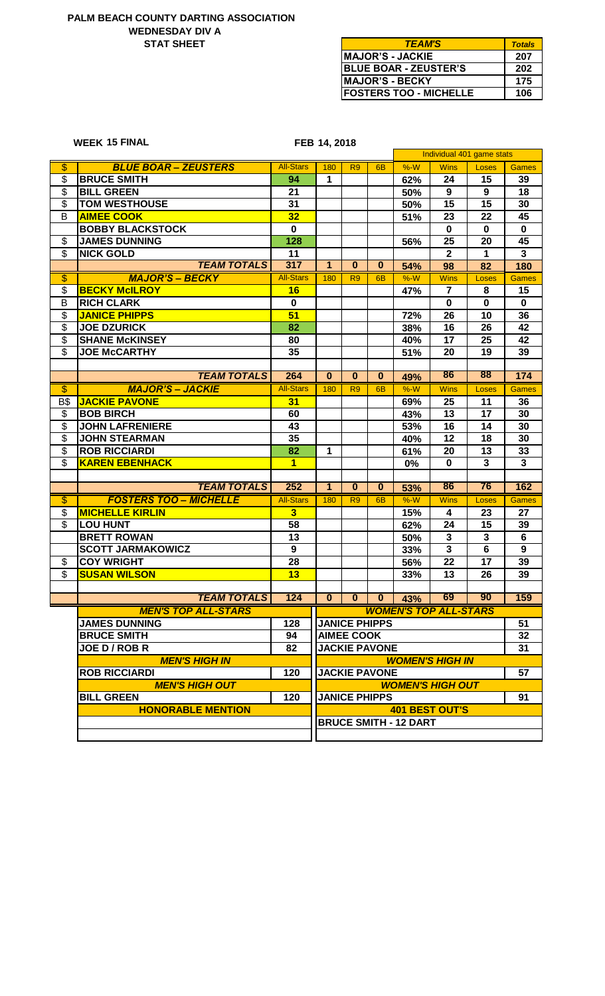## **WEDNESDAY DIV A PALM BEACH COUNTY DARTING ASSOCIATION STAT SHEET**

**15 FINAL WEEK**

| <b>TEAM'S</b>                 | <b>Totals</b> |
|-------------------------------|---------------|
| <b>IMAJOR'S - JACKIE</b>      | 207           |
| <b>BLUE BOAR - ZEUSTER'S</b>  | 202           |
| <b>IMAJOR'S - BECKY</b>       | 175           |
| <b>FOSTERS TOO - MICHELLE</b> | 106           |

**FEB 14, 2018**

|                          |                               |                         |                |                   |                      |                              |                              | Individual 401 game stats |              |
|--------------------------|-------------------------------|-------------------------|----------------|-------------------|----------------------|------------------------------|------------------------------|---------------------------|--------------|
| $\overline{\$}$          | <b>BLUE BOAR - ZEUSTERS</b>   | <b>All-Stars</b>        | 180            | R <sub>9</sub>    | 6 <sub>B</sub>       | $%-W$                        | <b>Wins</b>                  | Loses                     | <b>Games</b> |
| \$                       | <b>BRUCE SMITH</b>            | 94                      | 1              |                   |                      | 62%                          | 24                           | 15                        | 39           |
| $\overline{\mathbf{3}}$  | <b>BILL GREEN</b>             | 21                      |                |                   |                      | 50%                          | $\boldsymbol{9}$             | 9                         | 18           |
| \$                       | <b>TOM WESTHOUSE</b>          | 31                      |                |                   |                      | 50%                          | 15                           | 15                        | 30           |
| B                        | <b>AIMEE COOK</b>             | 32                      |                |                   |                      | 51%                          | 23                           | 22                        | 45           |
|                          | <b>BOBBY BLACKSTOCK</b>       | $\mathbf 0$             |                |                   |                      |                              | $\mathbf 0$                  | $\mathbf 0$               | $\mathbf 0$  |
| \$                       | <b>JAMES DUNNING</b>          | 128                     |                |                   |                      | 56%                          | 25                           | 20                        | 45           |
| \$                       | <b>NICK GOLD</b>              | 11                      |                |                   |                      |                              | $\mathbf{2}$                 | $\mathbf 1$               | $\mathbf{3}$ |
|                          | <b>TEAM TOTALS</b>            | 317                     | $\mathbf{1}$   | $\bf{0}$          | $\bf{0}$             | 54%                          | 98                           | 82                        | 180          |
| $\overline{\$}$          | <b>MAJOR'S - BECKY</b>        | <b>All-Stars</b>        | 180            | R <sub>9</sub>    | 6 <sub>B</sub>       | $%-W$                        | <b>Wins</b>                  | Loses                     | <b>Games</b> |
| \$                       | <b>BECKY McILROY</b>          | 16                      |                |                   |                      | 47%                          | $\overline{7}$               | 8                         | 15           |
| B                        | <b>RICH CLARK</b>             | $\mathbf 0$             |                |                   |                      |                              | $\mathbf 0$                  | $\mathbf 0$               | $\mathbf 0$  |
| \$                       | <b>JANICE PHIPPS</b>          | 51                      |                |                   |                      | 72%                          | 26                           | 10                        | 36           |
| \$                       | <b>JOE DZURICK</b>            | 82                      |                |                   |                      | 38%                          | 16                           | 26                        | 42           |
| \$                       | <b>SHANE McKINSEY</b>         | 80                      |                |                   |                      | 40%                          | 17                           | 25                        | 42           |
| \$                       | <b>JOE McCARTHY</b>           | 35                      |                |                   |                      | 51%                          | 20                           | 19                        | 39           |
|                          |                               |                         |                |                   |                      |                              |                              |                           |              |
|                          | <b>TEAM TOTALS</b>            | 264                     | $\bf{0}$       | $\bf{0}$          | $\bf{0}$             | 49%                          | 86                           | 88                        | 174          |
| $\overline{\$}$          | <b>MAJOR'S - JACKIE</b>       | <b>All-Stars</b>        | 180            | R <sub>9</sub>    | 6 <sub>B</sub>       | $%-W$                        | <b>Wins</b>                  | Loses                     | <b>Games</b> |
| <b>B\$</b>               | <b>JACKIE PAVONE</b>          | 31                      |                |                   |                      | 69%                          | 25                           | 11                        | 36           |
| \$                       | <b>BOB BIRCH</b>              | 60                      |                |                   |                      | 43%                          | 13                           | 17                        | 30           |
| \$                       | <b>JOHN LAFRENIERE</b>        | 43                      |                |                   |                      | 53%                          | 16                           | 14                        | 30           |
| \$                       | <b>JOHN STEARMAN</b>          | 35                      |                |                   |                      | 40%                          | 12                           | 18                        | 30           |
| $\overline{\mathbf{e}}$  | <b>ROB RICCIARDI</b>          | 82                      | 1              |                   |                      | 61%                          | 20                           | 13                        | 33           |
| \$                       | <b>KAREN EBENHACK</b>         | $\overline{\mathbf{1}}$ |                |                   |                      | 0%                           | $\mathbf 0$                  | 3                         | $\mathbf{3}$ |
|                          |                               |                         |                |                   |                      |                              |                              |                           |              |
|                          | <b>TEAM TOTALS</b>            | 252                     | $\overline{1}$ | $\mathbf{0}$      | $\mathbf{0}$         | 53%                          | 86                           | 76                        | 162          |
| $\overline{\$}$          | <b>FOSTERS TOO - MICHELLE</b> | <b>All-Stars</b>        | 180            | R <sub>9</sub>    | 6B                   | $%-W$                        | <b>Wins</b>                  | Loses                     | <b>Games</b> |
| \$                       | <b>MICHELLE KIRLIN</b>        | $\overline{\mathbf{3}}$ |                |                   |                      | 15%                          | 4                            | 23                        | 27           |
| $\overline{\mathcal{S}}$ | <b>LOU HUNT</b>               | 58                      |                |                   |                      | 62%                          | 24                           | 15                        | 39           |
|                          | <b>BRETT ROWAN</b>            | 13                      |                |                   |                      | 50%                          | 3                            | 3                         | 6            |
|                          | <b>SCOTT JARMAKOWICZ</b>      | 9                       |                |                   |                      | 33%                          | 3                            | 6                         | 9            |
| \$                       | <b>COY WRIGHT</b>             | 28                      |                |                   |                      | 56%                          | 22                           | 17                        | 39           |
| $\overline{\mathcal{G}}$ | <b>SUSAN WILSON</b>           | 13                      |                |                   |                      | 33%                          | 13                           | 26                        | 39           |
|                          |                               |                         |                |                   |                      |                              |                              |                           |              |
|                          | <b>TEAM TOTALS</b>            | 124                     | $\bf{0}$       | $\bf{0}$          | $\mathbf{0}$         | 43%                          | 69                           | 90                        | 159          |
|                          | <b>MEN'S TOP ALL-STARS</b>    |                         |                |                   |                      |                              | <b>WOMEN'S TOP ALL-STARS</b> |                           |              |
|                          | <b>JAMES DUNNING</b>          | 128                     |                |                   | <b>JANICE PHIPPS</b> |                              |                              |                           | 51           |
|                          | <b>BRUCE SMITH</b>            | 94                      |                | <b>AIMEE COOK</b> |                      |                              |                              |                           | 32           |
|                          | JOE D / ROB R                 |                         |                |                   | <b>JACKIE PAVONE</b> |                              |                              |                           |              |
|                          | <b>MEN'S HIGH IN</b>          | 82                      |                |                   |                      |                              | <b>WOMEN'S HIGH IN</b>       |                           | 31           |
|                          |                               |                         |                |                   |                      |                              |                              |                           |              |
|                          | <b>ROB RICCIARDI</b>          | 120                     |                |                   | <b>JACKIE PAVONE</b> |                              |                              |                           | 57           |
|                          | <b>MEN'S HIGH OUT</b>         |                         |                |                   |                      |                              | <b>WOMEN'S HIGH OUT</b>      |                           |              |
|                          | <b>BILL GREEN</b>             | 120                     |                |                   | <b>JANICE PHIPPS</b> |                              |                              |                           | 91           |
|                          | <b>HONORABLE MENTION</b>      |                         |                |                   |                      |                              | <b>401 BEST OUT'S</b>        |                           |              |
|                          |                               |                         |                |                   |                      | <b>BRUCE SMITH - 12 DART</b> |                              |                           |              |
|                          |                               |                         |                |                   |                      |                              |                              |                           |              |